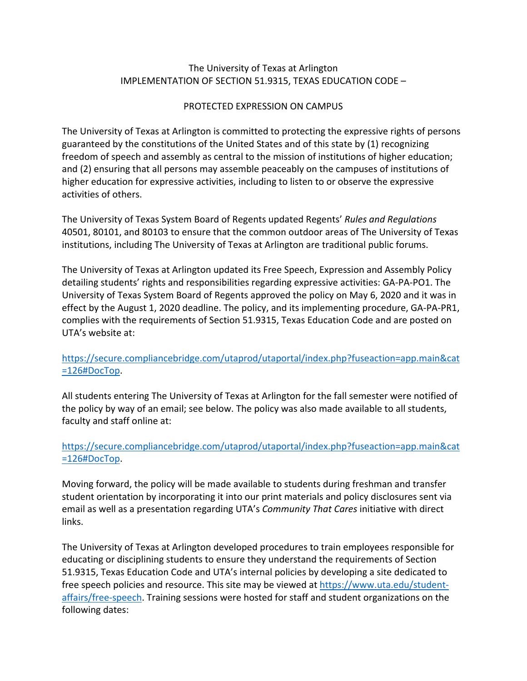## The University of Texas at Arlington IMPLEMENTATION OF SECTION 51.9315, TEXAS EDUCATION CODE –

## PROTECTED EXPRESSION ON CAMPUS

 and (2) ensuring that all persons may assemble peaceably on the campuses of institutions of The University of Texas at Arlington is committed to protecting the expressive rights of persons guaranteed by the constitutions of the United States and of this state by (1) recognizing freedom of speech and assembly as central to the mission of institutions of higher education; higher education for expressive activities, including to listen to or observe the expressive activities of others.

 institutions, including The University of Texas at Arlington are traditional public forums. The University of Texas System Board of Regents updated Regents' *Rules and Regulations*  40501, 80101, and 80103 to ensure that the common outdoor areas of The University of Texas

The University of Texas at Arlington updated its Free Speech, Expression and Assembly Policy detailing students' rights and responsibilities regarding expressive activities: GA-PA-PO1. The University of Texas System Board of Regents approved the policy on May 6, 2020 and it was in effect by the August 1, 2020 deadline. The policy, and its implementing procedure, GA-PA-PR1, complies with the requirements of Section 51.9315, Texas Education Code and are posted on UTA's website at:

## [https://secure.compliancebridge.com/utaprod/utaportal/index.php?fuseaction=app.main&cat](https://secure.compliancebridge.com/utaprod/utaportal/index.php?fuseaction=app.main&cat=126#DocTop)  [=126#DocTop.](https://secure.compliancebridge.com/utaprod/utaportal/index.php?fuseaction=app.main&cat=126#DocTop)

All students entering The University of Texas at Arlington for the fall semester were notified of the policy by way of an email; see below. The policy was also made available to all students, faculty and staff online at:

## [https://secure.compliancebridge.com/utaprod/utaportal/index.php?fuseaction=app.main&cat](https://secure.compliancebridge.com/utaprod/utaportal/index.php?fuseaction=app.main&cat=126#DocTop)  [=126#DocTop.](https://secure.compliancebridge.com/utaprod/utaportal/index.php?fuseaction=app.main&cat=126#DocTop)

Moving forward, the policy will be made available to students during freshman and transfer student orientation by incorporating it into our print materials and policy disclosures sent via email as well as a presentation regarding UTA's *Community That Cares* initiative with direct links.

The University of Texas at Arlington developed procedures to train employees responsible for educating or disciplining students to ensure they understand the requirements of Section 51.9315, Texas Education Code and UTA's internal policies by developing a site dedicated to free speech policies and resource. This site may be viewed at [https://www.uta.edu/student](https://www.uta.edu/student-affairs/free-speech)[affairs/free-speech.](https://www.uta.edu/student-affairs/free-speech) Training sessions were hosted for staff and student organizations on the following dates: